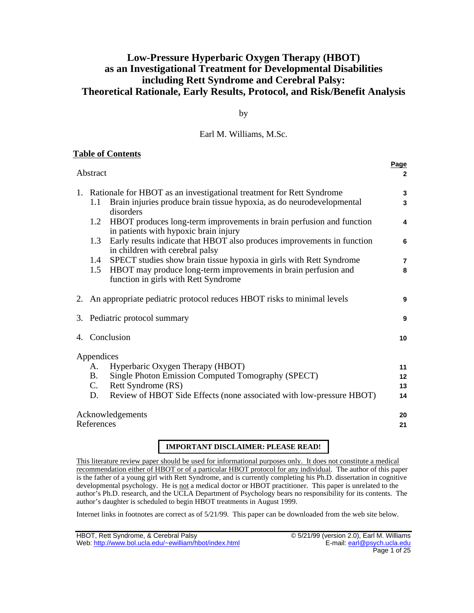# **Low-Pressure Hyperbaric Oxygen Therapy (HBOT) as an Investigational Treatment for Developmental Disabilities including Rett Syndrome and Cerebral Palsy: Theoretical Rationale, Early Results, Protocol, and Risk/Benefit Analysis**

by

## Earl M. Williams, M.Sc.

# **Table of Contents**

| Abstract                       |                                                                           |                                                                                                                                                                                      | <u>raye</u><br>$\overline{2}$       |
|--------------------------------|---------------------------------------------------------------------------|--------------------------------------------------------------------------------------------------------------------------------------------------------------------------------------|-------------------------------------|
|                                | 1.1                                                                       | 1. Rationale for HBOT as an investigational treatment for Rett Syndrome<br>Brain injuries produce brain tissue hypoxia, as do neurodevelopmental<br>disorders                        | 3<br>3                              |
|                                | 1.2                                                                       | HBOT produces long-term improvements in brain perfusion and function<br>in patients with hypoxic brain injury                                                                        | 4                                   |
|                                | 1.3                                                                       | Early results indicate that HBOT also produces improvements in function<br>in children with cerebral palsy                                                                           | 6                                   |
|                                |                                                                           | 1.4 SPECT studies show brain tissue hypoxia in girls with Rett Syndrome                                                                                                              | 7                                   |
|                                | 1.5                                                                       | HBOT may produce long-term improvements in brain perfusion and<br>function in girls with Rett Syndrome                                                                               | 8                                   |
|                                | 2. An appropriate pediatric protocol reduces HBOT risks to minimal levels |                                                                                                                                                                                      | 9                                   |
|                                | 3. Pediatric protocol summary                                             |                                                                                                                                                                                      | 9                                   |
|                                | 4. Conclusion                                                             |                                                                                                                                                                                      | 10                                  |
|                                | Appendices<br>А.<br><b>B.</b><br>C.<br>D.                                 | Hyperbaric Oxygen Therapy (HBOT)<br>Single Photon Emission Computed Tomography (SPECT)<br>Rett Syndrome (RS)<br>Review of HBOT Side Effects (none associated with low-pressure HBOT) | 11<br>$12 \overline{ }$<br>13<br>14 |
| Acknowledgements<br>References |                                                                           |                                                                                                                                                                                      | 20<br>21                            |

# **IMPORTANT DISCLAIMER: PLEASE READ!**

This literature review paper should be used for informational purposes only. It does not constitute a medical recommendation either of HBOT or of a particular HBOT protocol for any individual . The author of this paper is the father of a young girl with Rett Syndrome, and is currently completing his Ph.D. dissertation in cognitive developmental psychology. He is not a medical doctor or HBOT practitioner. This paper is unrelated to the author's Ph.D. research, and the UCLA Department of Psychology bears no responsibility for its contents. The author's daughter is scheduled to begin HBOT treatments in August 1999.

Internet links in footnotes are correct as of 5/21/99. This paper can be downloaded from the web site below.

**Page**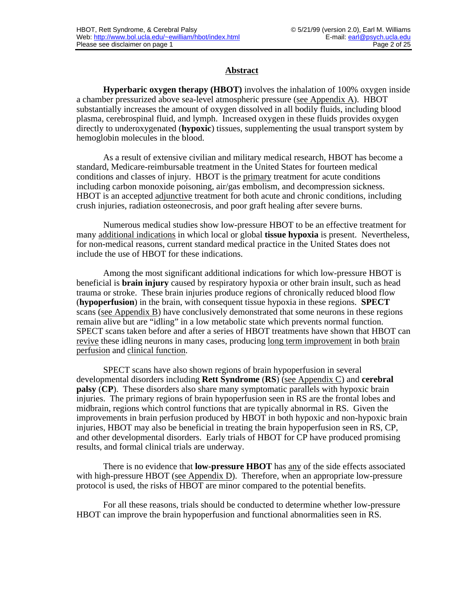### **Abstract**

**Hyperbaric oxygen therapy (HBOT)** involves the inhalation of 100% oxygen inside a chamber pressurized above sea-level atmospheric pressure (see Appendix A ). HBOT substantially increases the amount of oxygen dissolved in all bodily fluids, including blood plasma, cerebrospinal fluid, and lymph. Increased oxygen in these fluids provides oxygen directly to underoxygenated (**hypoxic**) tissues, supplementing the usual transport system by hemoglobin molecules in the blood.

As a result of extensive civilian and military medical research, HBOT has become a standard, Medicare-reimbursable treatment in the United States for fourteen medical conditions and classes of injury. HBOT is the primary treatment for acute conditions including carbon monoxide poisoning, air/gas embolism, and decompression sickness. HBOT is an accepted adjunctive treatment for both acute and chronic conditions, including crush injuries, radiation osteonecrosis, and poor graft healing after severe burns.

Numerous medical studies show low-pressure HBOT to be an effective treatment for many additional indications in which local or global **tissue hypoxia** is present. Nevertheless, for non-medical reasons, current standard medical practice in the United States does not include the use of HBOT for these indications.

Among the most significant additional indications for which low-pressure HBOT is beneficial is **brain injury** caused by respiratory hypoxia or other brain insult, such as head trauma or stroke. These brain injuries produce regions of chronically reduced blood flow (**hypoperfusion**) in the brain, with consequent tissue hypoxia in these regions. **SPECT** scans (see Appendix B) have conclusively demonstrated that some neurons in these regions remain alive but are "idling" in a low metabolic state which prevents normal function. SPECT scans taken before and after a series of HBOT treatments have shown that HBOT can revive these idling neurons in many cases, producing long term improvement in both brain perfusion and clinical function.

SPECT scans have also shown regions of brain hypoperfusion in several developmental disorders including **Rett Syndrome** (**RS**) (see Appendix C ) and **cerebral palsy** (**CP**). These disorders also share many symptomatic parallels with hypoxic brain injuries. The primary regions of brain hypoperfusion seen in RS are the frontal lobes and midbrain, regions which control functions that are typically abnormal in RS. Given the improvements in brain perfusion produced by HBOT in both hypoxic and non-hypoxic brain injuries, HBOT may also be beneficial in treating the brain hypoperfusion seen in RS, CP, and other developmental disorders. Early trials of HBOT for CP have produced promising results, and formal clinical trials are underway.

There is no evidence that **low-pressure HBOT** has any of the side effects associated with high-pressure HBOT (see Appendix  $D$ ). Therefore, when an appropriate low-pressure protocol is used, the risks of HBOT are minor compared to the potential benefits.

For all these reasons, trials should be conducted to determine whether low-pressure HBOT can improve the brain hypoperfusion and functional abnormalities seen in RS.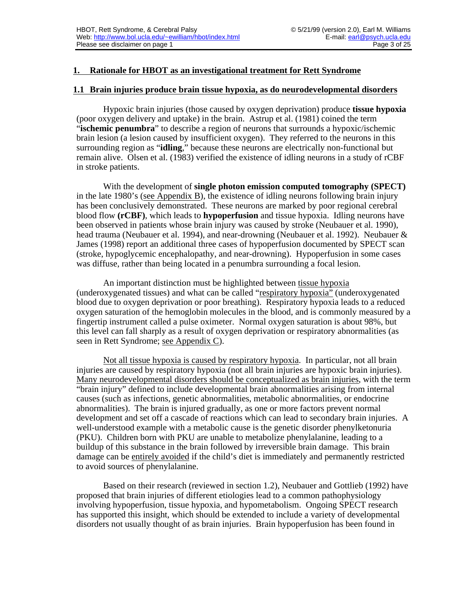# **1. Rationale for HBOT as an investigational treatment for Rett Syndrome**

#### **1.1 Brain injuries produce brain tissue hypoxia, as do neurodevelopmental disorders**

Hypoxic brain injuries (those caused by oxygen deprivation) produce **tissue hypoxia** (poor oxygen delivery and uptake) in the brain. Astrup et al. (1981) coined the term "**ischemic penumbra**" to describe a region of neurons that surrounds a hypoxic/ischemic brain lesion (a lesion caused by insufficient oxygen). They referred to the neurons in this surrounding region as "**idling**," because these neurons are electrically non-functional but remain alive. Olsen et al. (1983) verified the existence of idling neurons in a study of rCBF in stroke patients.

With the development of **single photon emission computed tomography (SPECT)** in the late  $1980$ 's (see Appendix B), the existence of idling neurons following brain injury has been conclusively demonstrated. These neurons are marked by poor regional cerebral blood flow **(rCBF)**, which leads to **hypoperfusion** and tissue hypoxia. Idling neurons have been observed in patients whose brain injury was caused by stroke (Neubauer et al. 1990), head trauma (Neubauer et al. 1994), and near-drowning (Neubauer et al. 1992). Neubauer & James (1998) report an additional three cases of hypoperfusion documented by SPECT scan (stroke, hypoglycemic encephalopathy, and near-drowning). Hypoperfusion in some cases was diffuse, rather than being located in a penumbra surrounding a focal lesion.

An important distinction must be highlighted between tissue hypoxia (underoxygenated tissues) and what can be called "respiratory hypoxia" (underoxygenated blood due to oxygen deprivation or poor breathing). Respiratory hypoxia leads to a reduced oxygen saturation of the hemoglobin molecules in the blood, and is commonly measured by a fingertip instrument called a pulse oximeter. Normal oxygen saturation is about 98%, but this level can fall sharply as a result of oxygen deprivation or respiratory abnormalities (as seen in Rett Syndrome; see Appendix C).

Not all tissue hypoxia is caused by respiratory hypoxia . In particular, not all brain injuries are caused by respiratory hypoxia (not all brain injuries are hypoxic brain injuries). Many neurodevelopmental disorders should be conceptualized as brain injuries, with the term "brain injury" defined to include developmental brain abnormalities arising from internal causes (such as infections, genetic abnormalities, metabolic abnormalities, or endocrine abnormalities). The brain is injured gradually, as one or more factors prevent normal development and set off a cascade of reactions which can lead to secondary brain injuries. A well-understood example with a metabolic cause is the genetic disorder phenylketonuria (PKU). Children born with PKU are unable to metabolize phenylalanine, leading to a buildup of this substance in the brain followed by irreversible brain damage. This brain damage can be entirely avoided if the child's diet is immediately and permanently restricted to avoid sources of phenylalanine.

Based on their research (reviewed in section 1.2), Neubauer and Gottlieb (1992) have proposed that brain injuries of different etiologies lead to a common pathophysiology involving hypoperfusion, tissue hypoxia, and hypometabolism. Ongoing SPECT research has supported this insight, which should be extended to include a variety of developmental disorders not usually thought of as brain injuries. Brain hypoperfusion has been found in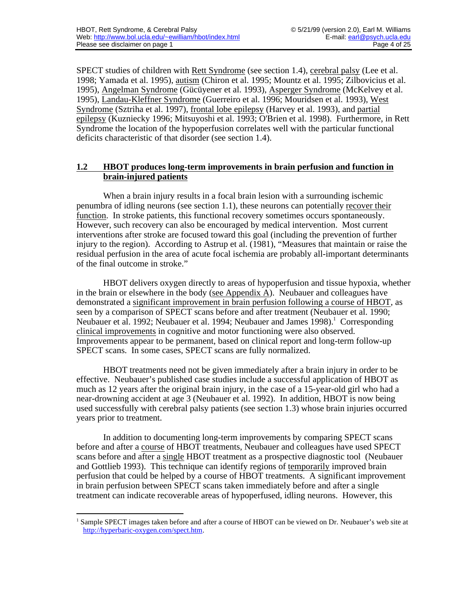SPECT studies of children with Rett Syndrome (see section 1.4), cerebral palsy (Lee et al. 1998; Yamada et al. 1995), autism (Chiron et al. 1995; Mountz et al. 1995; Zilbovicius et al. 1995), Angelman Syndrome (Gücüyener et al. 1993), Asperger Syndrome (McKelvey et al. 1995), Landau- Kleffner Syndrome (Guerreiro et al. 1996; Mouridsen et al. 1993), West Syndrome (Sztriha et al. 1997), frontal lobe epilepsy (Harvey et al. 1993), and partial epilepsy (Kuzniecky 1996; Mitsuyoshi et al. 1993; O'Brien et al. 1998). Furthermore, in Rett Syndrome the location of the hypoperfusion correlates well with the particular functional deficits characteristic of that disorder (see section 1.4).

### **1.2 HBOT produces long-term improvements in brain perfusion and function in brain-injured patients**

When a brain injury results in a focal brain lesion with a surrounding ischemic penumbra of idling neurons (see section 1.1), these neurons can potentially recover their function. In stroke patients, this functional recovery sometimes occurs spontaneously. However, such recovery can also be encouraged by medical intervention. Most current interventions after stroke are focused toward this goal (including the prevention of further injury to the region). According to Astrup et al. (1981), "Measures that maintain or raise the residual perfusion in the area of acute focal ischemia are probably all-important determinants of the final outcome in stroke."

HBOT delivers oxygen directly to areas of hypoperfusion and tissue hypoxia, whether in the brain or elsewhere in the body (see Appendix A). Neubauer and colleagues have demonstrated a significant improvement in brain perfusion following a course of HBOT , as seen by a comparison of SPECT scans before and after treatment (Neubauer et al. 1990; Neubauer et al. 1992; Neubauer et al. 1994; Neubauer and James 1998).<sup>1</sup> Corresponding clinical improvements in cognitive and motor functioning were also observed. Improvements appear to be permanent, based on clinical report and long-term follow-up SPECT scans. In some cases, SPECT scans are fully normalized.

HBOT treatments need not be given immediately after a brain injury in order to be effective. Neubauer's published case studies include a successful application of HBOT as much as 12 years after the original brain injury, in the case of a 15-year-old girl who had a near-drowning accident at age 3 (Neubauer et al. 1992). In addition, HBOT is now being used successfully with cerebral palsy patients (see section 1.3) whose brain injuries occurred years prior to treatment.

In addition to documenting long-term improvements by comparing SPECT scans before and after a course of HBOT treatments, Neubauer and colleagues have used SPECT scans before and after a single HBOT treatment as a prospective diagnostic tool (Neubauer and Gottlieb 1993). This technique can identify regions of temporarily improved brain perfusion that could be helped by a course of HBOT treatments. A significant improvement in brain perfusion between SPECT scans taken immediately before and after a single treatment can indicate recoverable areas of hypoperfused, idling neurons. However, this

<sup>1</sup> Sample SPECT images taken before and after a course of HBOT can be viewed on Dr. Neubauer's web site at [http://hyperbaric-oxygen.com/spect.htm .](http://hyperbaric-oxygen.com/spect.htm)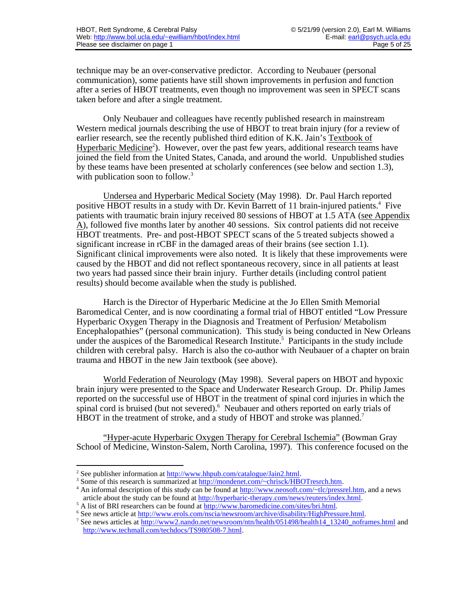technique may be an over-conservative predictor. According to Neubauer (personal communication), some patients have still shown improvements in perfusion and function after a series of HBOT treatments, even though no improvement was seen in SPECT scans taken before and after a single treatment.

Only Neubauer and colleagues have recently published research in mainstream Western medical journals describing the use of HBOT to treat brain injury (for a review of earlier research, see the recently published third edition of K.K. Jain's Textbook of Hyperbaric Medicine<sup>2</sup>). However, over the past few years, additional research teams have joined the field from the United States, Canada, and around the world. Unpublished studies by these teams have been presented at scholarly conferences (see below and section 1.3), with publication soon to follow.<sup>3</sup>

Undersea and Hyperbaric Medical Society (May 1998). Dr. Paul Harch reported positive HBOT results in a study with Dr. Kevin Barrett of 11 brain-injured patients.<sup>4</sup> Five patients with traumatic brain injury received 80 sessions of HBOT at 1.5 ATA (see Appendix  $\Delta$ ), followed five months later by another 40 sessions. Six control patients did not receive HBOT treatments. Pre- and post-HBOT SPECT scans of the 5 treated subjects showed a significant increase in rCBF in the damaged areas of their brains (see section 1.1). Significant clinical improvements were also noted. It is likely that these improvements were caused by the HBOT and did not reflect spontaneous recovery, since in all patients at least two years had passed since their brain injury. Further details (including control patient results) should become available when the study is published.

Harch is the Director of Hyperbaric Medicine at the Jo Ellen Smith Memorial Baromedical Center, and is now coordinating a formal trial of HBOT entitled "Low Pressure Hyperbaric Oxygen Therapy in the Diagnosis and Treatment of Perfusion/ Metabolism Encephalopathies" (personal communication). This study is being conducted in New Orleans under the auspices of the Baromedical Research Institute.<sup>5</sup> Participants in the study include children with cerebral palsy. Harch is also the co-author with Neubauer of a chapter on brain trauma and HBOT in the new Jain textbook (see above).

World Federation of Neurology (May 1998). Several papers on HBOT and hypoxic brain injury were presented to the Space and Underwater Research Group. Dr. Philip James reported on the successful use of HBOT in the treatment of spinal cord injuries in which the spinal cord is bruised (but not severed).<sup>6</sup> Neubauer and others reported on early trials of HBOT in the treatment of stroke, and a study of HBOT and stroke was planned.<sup>7</sup>

"Hyper-acute Hyperbaric Oxygen Therapy for Cerebral Ischemia" (Bowman Gray School of Medicine, Winston-Salem, North Carolina, 1997). This conference focused on the

 <sup>2</sup> See publisher information at  $\frac{http://www.hhpub.com/catalogue/Jain2.html}{http://www.hhpub.com/catalogue/Jain2.html}$ .

<sup>&</sup>lt;sup>3</sup> Some of this research is summarized at http://mondenet.com/~chrisck/HBOTresrch.htm.

<sup>&</sup>lt;sup>4</sup> An informal description of this study can be found at http://www.neosoft.com/~tlc/pressrel.htm, and a news article about the study can be found at [http://hyperbaric-therapy.com/news/reuters/index.html .](http://hyperbaric-therapy.com/news/reuters/index.html)

<sup>&</sup>lt;sup>5</sup> A list of BRI researchers can be found at http://www.baromedicine.com/sites/bri.html.

<sup>&</sup>lt;sup>6</sup> See news article at http://www.erols.com/nscia/newsroom/archive/disability/HighPressure.html.

<sup>&</sup>lt;sup>7</sup> See news articles at [http://www2.nando.net/newsroom/ntn/health/051498/health14\\_13240\\_noframes.html](http://www2.nando.net/newsroom/ntn/health/051498/health14_13240_noframes.html) and [http://www.techmall.com/techdocs/TS980508-7.html .](http://www.techmall.com/techdocs/TS980508-7.html)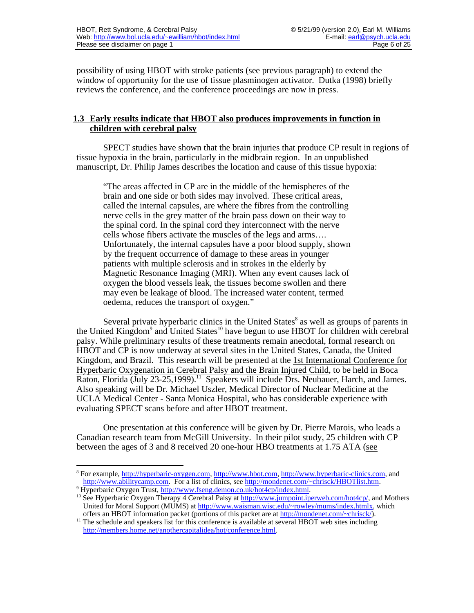possibility of using HBOT with stroke patients (see previous paragraph) to extend the window of opportunity for the use of tissue plasminogen activator. Dutka (1998) briefly reviews the conference, and the conference proceedings are now in press.

### **1.3 Early results indicate that HBOT also produces improvements in function in children with cerebral palsy**

SPECT studies have shown that the brain injuries that produce CP result in regions of tissue hypoxia in the brain, particularly in the midbrain region. In an unpublished manuscript, Dr. Philip James describes the location and cause of this tissue hypoxia:

"The areas affected in CP are in the middle of the hemispheres of the brain and one side or both sides may involved. These critical areas, called the internal capsules, are where the fibres from the controlling nerve cells in the grey matter of the brain pass down on their way to the spinal cord. In the spinal cord they interconnect with the nerve cells whose fibers activate the muscles of the legs and arms…. Unfortunately, the internal capsules have a poor blood supply, shown by the frequent occurrence of damage to these areas in younger patients with multiple sclerosis and in strokes in the elderly by Magnetic Resonance Imaging (MRI). When any event causes lack of oxygen the blood vessels leak, the tissues become swollen and there may even be leakage of blood. The increased water content, termed oedema, reduces the transport of oxygen."

Several private hyperbaric clinics in the United States<sup>8</sup> as well as groups of parents in the United Kingdom<sup>9</sup> and United States<sup>10</sup> have begun to use HBOT for children with cerebral palsy. While preliminary results of these treatments remain anecdotal, formal research on HBOT and CP is now underway at several sites in the United States, Canada, the United Kingdom, and Brazil. This research will be presented at the 1st International Conference for Hyperbaric Oxygenation in Cerebral Palsy and the Brain Injured Child , to be held in Boca Raton, Florida (July 23-25,1999).<sup>11</sup> Speakers will include Drs. Neubauer, Harch, and James. Also speaking will be Dr. Michael Uszler, Medical Director of Nuclear Medicine at the UCLA Medical Center - Santa Monica Hospital, who has considerable experience with evaluating SPECT scans before and after HBOT treatment.

One presentation at this conference will be given by Dr. Pierre Marois, who leads a Canadian research team from McGill University. In their pilot study, 25 children with CP between the ages of 3 and 8 received 20 one-hour HBO treatments at 1.75 ATA (see

<sup>&</sup>lt;sup>8</sup> For example, http://hyperbaric-oxygen.com, http://www.hbot.com, http://www.hyperbaric-clinics.com, and http://www.abilitycamp.com. For a list of clinics, see http://mondenet.com/~chrisck/HBOTlist.htm. <sup>9</sup> Hyperbaric Oxygen Trust, http://www.fseng.demon.co.uk/hot4cp/index.html.

<sup>&</sup>lt;sup>10</sup> See Hyperbaric Oxygen Therapy 4 Cerebral Palsy at http://www.jumpoint.iperweb.com/hot4cp/, and Mothers United for Moral Support (MUMS) at http://www.waisman.wisc.edu/~rowley/mums/index.htmlx, which offers an HBOT information packet (portions of this packet are at http://mondenet.com/~chrisck/).

<sup>&</sup>lt;sup>11</sup> The schedule and speakers list for this conference is available at several HBOT web sites including [http://members.home.net/anothercapitalidea/hot/conference.html .](http://members.home.net/anothercapitalidea/hot/conference.html)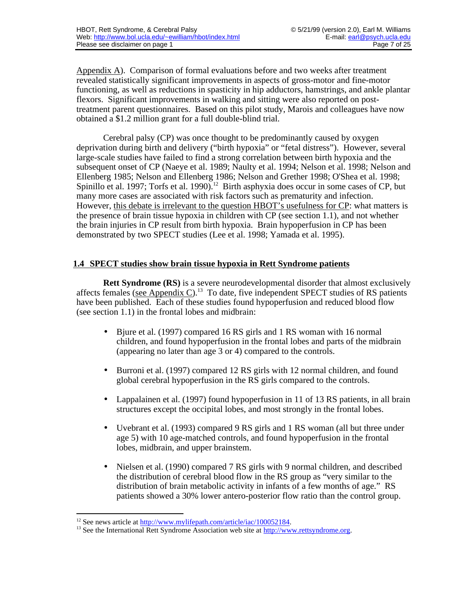Appendix A). Comparison of formal evaluations before and two weeks after treatment revealed statistically significant improvements in aspects of gross-motor and fine-motor functioning, as well as reductions in spasticity in hip adductors, hamstrings, and ankle plantar flexors. Significant improvements in walking and sitting were also reported on posttreatment parent questionnaires. Based on this pilot study, Marois and colleagues have now obtained a \$1.2 million grant for a full double-blind trial.

Cerebral palsy (CP) was once thought to be predominantly caused by oxygen deprivation during birth and delivery ("birth hypoxia" or "fetal distress"). However, several large-scale studies have failed to find a strong correlation between birth hypoxia and the subsequent onset of CP (Naeye et al. 1989; Naulty et al. 1994; Nelson et al. 1998; Nelson and Ellenberg 1985; Nelson and Ellenberg 1986; Nelson and Grether 1998; O'Shea et al. 1998; Spinillo et al. 1997; Torfs et al. 1990).<sup>12</sup> Birth asphyxia does occur in some cases of CP, but many more cases are associated with risk factors such as prematurity and infection. However, this debate is irrelevant to the question HBOT's usefulness for CP: what matters is the presence of brain tissue hypoxia in children with CP (see section 1.1), and not whether the brain injuries in CP result from birth hypoxia. Brain hypoperfusion in CP has been demonstrated by two SPECT studies (Lee et al. 1998; Yamada et al. 1995).

## **1.4 SPECT studies show brain tissue hypoxia in Rett Syndrome patients**

**Rett Syndrome (RS)** is a severe neurodevelopmental disorder that almost exclusively affects females (see Appendix C).<sup>13</sup> To date, five independent SPECT studies of RS patients have been published. Each of these studies found hypoperfusion and reduced blood flow (see section 1.1) in the frontal lobes and midbrain:

- Bjure et al. (1997) compared 16 RS girls and 1 RS woman with 16 normal children, and found hypoperfusion in the frontal lobes and parts of the midbrain (appearing no later than age 3 or 4) compared to the controls.
- Burroni et al. (1997) compared 12 RS girls with 12 normal children, and found global cerebral hypoperfusion in the RS girls compared to the controls.
- Lappalainen et al. (1997) found hypoperfusion in 11 of 13 RS patients, in all brain structures except the occipital lobes, and most strongly in the frontal lobes.
- Uvebrant et al. (1993) compared 9 RS girls and 1 RS woman (all but three under age 5) with 10 age-matched controls, and found hypoperfusion in the frontal lobes, midbrain, and upper brainstem.
- Nielsen et al. (1990) compared 7 RS girls with 9 normal children, and described the distribution of cerebral blood flow in the RS group as "very similar to the distribution of brain metabolic activity in infants of a few months of age." RS patients showed a 30% lower antero-posterior flow ratio than the control group.

 $12$  See news article at http://www.mylifepath.com/article/iac/100052184.

<sup>&</sup>lt;sup>13</sup> See the International Rett Syndrome Association web site at http://www.rettsyndrome.org.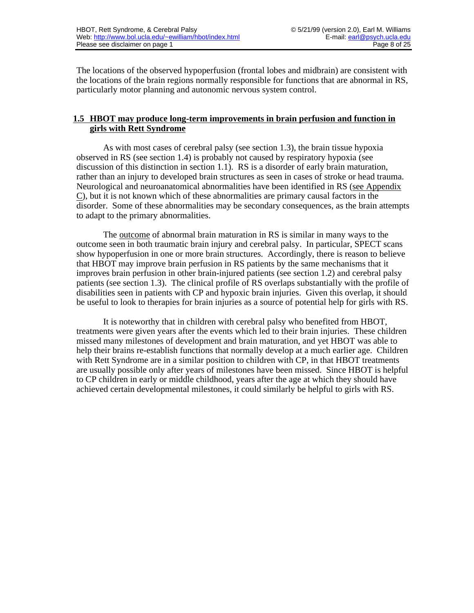The locations of the observed hypoperfusion (frontal lobes and midbrain) are consistent with the locations of the brain regions normally responsible for functions that are abnormal in RS, particularly motor planning and autonomic nervous system control.

## **1.5 HBOT may produce long-term improvements in brain perfusion and function in girls with Rett Syndrome**

As with most cases of cerebral palsy (see section 1.3), the brain tissue hypoxia observed in RS (see section 1.4) is probably not caused by respiratory hypoxia (see discussion of this distinction in section 1.1). RS is a disorder of early brain maturation, rather than an injury to developed brain structures as seen in cases of stroke or head trauma. Neurological and neuroanatomical abnormalities have been identified in RS (see Appendix C ), but it is not known which of these abnormalities are primary causal factors in the disorder. Some of these abnormalities may be secondary consequences, as the brain attempts to adapt to the primary abnormalities.

The outcome of abnormal brain maturation in RS is similar in many ways to the outcome seen in both traumatic brain injury and cerebral palsy. In particular, SPECT scans show hypoperfusion in one or more brain structures. Accordingly, there is reason to believe that HBOT may improve brain perfusion in RS patients by the same mechanisms that it improves brain perfusion in other brain-injured patients (see section 1.2) and cerebral palsy patients (see section 1.3). The clinical profile of RS overlaps substantially with the profile of disabilities seen in patients with CP and hypoxic brain injuries. Given this overlap, it should be useful to look to therapies for brain injuries as a source of potential help for girls with RS.

It is noteworthy that in children with cerebral palsy who benefited from HBOT, treatments were given years after the events which led to their brain injuries. These children missed many milestones of development and brain maturation, and yet HBOT was able to help their brains re-establish functions that normally develop at a much earlier age. Children with Rett Syndrome are in a similar position to children with CP, in that HBOT treatments are usually possible only after years of milestones have been missed. Since HBOT is helpful to CP children in early or middle childhood, years after the age at which they should have achieved certain developmental milestones, it could similarly be helpful to girls with RS.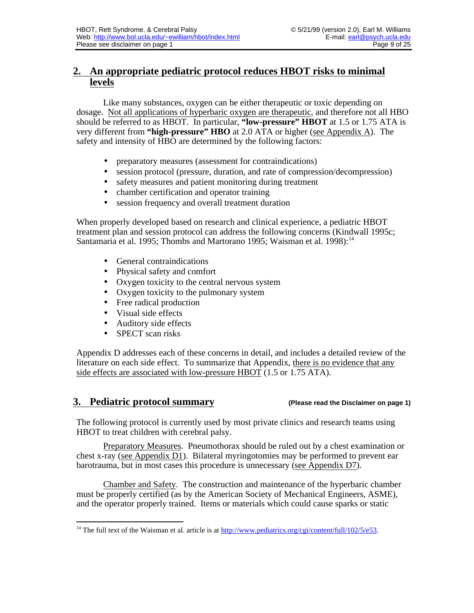# **2. An appropriate pediatric protocol reduces HBOT risks to minimal levels**

Like many substances, oxygen can be either therapeutic or toxic depending on dosage. Not all applications of hyperbaric oxygen are therapeutic , and therefore not all HBO should be referred to as HBOT. In particular, **"low-pressure" HBOT** at 1.5 or 1.75 ATA is very different from "high-pressure" HBO at 2.0 ATA or higher (see Appendix A). The safety and intensity of HBO are determined by the following factors:

- preparatory measures (assessment for contraindications)
- session protocol (pressure, duration, and rate of compression/decompression)
- safety measures and patient monitoring during treatment
- chamber certification and operator training
- session frequency and overall treatment duration

When properly developed based on research and clinical experience, a pediatric HBOT treatment plan and session protocol can address the following concerns (Kindwall 1995c; Santamaria et al. 1995; Thombs and Martorano 1995; Waisman et al. 1998):<sup>14</sup>

- General contraindications
- Physical safety and comfort
- Oxygen toxicity to the central nervous system
- Oxygen toxicity to the pulmonary system
- Free radical production
- Visual side effects
- Auditory side effects
- SPECT scan risks

Appendix D addresses each of these concerns in detail, and includes a detailed review of the literature on each side effect. To summarize that Appendix, there is no evidence that any side effects are associated with low-pressure HBOT (1.5 or 1.75 ATA).

# **3. Pediatric protocol summary (Please read the Disclaimer on page 1)**

The following protocol is currently used by most private clinics and research teams using HBOT to treat children with cerebral palsy.

Preparatory Measures . Pneumothorax should be ruled out by a chest examination or chest x-ray (see Appendix D1). Bilateral myringotomies may be performed to prevent ear barotrauma, but in most cases this procedure is unnecessary (see Appendix D7).

Chamber and Safety. The construction and maintenance of the hyperbaric chamber must be properly certified (as by the American Society of Mechanical Engineers, ASME), and the operator properly trained. Items or materials which could cause sparks or static

 <sup>14</sup> The full text of the Waisman et al. article is at http://www.pediatrics.org/cgi/content/full/102/5/e53.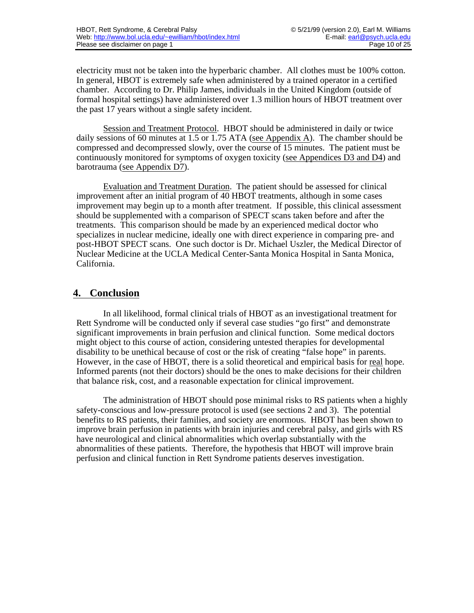electricity must not be taken into the hyperbaric chamber. All clothes must be 100% cotton. In general, HBOT is extremely safe when administered by a trained operator in a certified chamber. According to Dr. Philip James, individuals in the United Kingdom (outside of formal hospital settings) have administered over 1.3 million hours of HBOT treatment over the past 17 years without a single safety incident.

Session and Treatment Protocol . HBOT should be administered in daily or twice daily sessions of 60 minutes at 1.5 or 1.75 ATA (see Appendix A). The chamber should be compressed and decompressed slowly, over the course of 15 minutes. The patient must be continuously monitored for symptoms of oxygen toxicity (see Appendices D3 and D4) and barotrauma (see Appendix D7).

Evaluation and Treatment Duration . The patient should be assessed for clinical improvement after an initial program of 40 HBOT treatments, although in some cases improvement may begin up to a month after treatment. If possible, this clinical assessment should be supplemented with a comparison of SPECT scans taken before and after the treatments. This comparison should be made by an experienced medical doctor who specializes in nuclear medicine, ideally one with direct experience in comparing pre- and post-HBOT SPECT scans. One such doctor is Dr. Michael Uszler, the Medical Director of Nuclear Medicine at the UCLA Medical Center-Santa Monica Hospital in Santa Monica, California.

# **4. Conclusion**

In all likelihood, formal clinical trials of HBOT as an investigational treatment for Rett Syndrome will be conducted only if several case studies "go first" and demonstrate significant improvements in brain perfusion and clinical function. Some medical doctors might object to this course of action, considering untested therapies for developmental disability to be unethical because of cost or the risk of creating "false hope" in parents. However, in the case of HBOT, there is a solid theoretical and empirical basis for real hope. Informed parents (not their doctors) should be the ones to make decisions for their children that balance risk, cost, and a reasonable expectation for clinical improvement.

The administration of HBOT should pose minimal risks to RS patients when a highly safety-conscious and low-pressure protocol is used (see sections 2 and 3). The potential benefits to RS patients, their families, and society are enormous. HBOT has been shown to improve brain perfusion in patients with brain injuries and cerebral palsy, and girls with RS have neurological and clinical abnormalities which overlap substantially with the abnormalities of these patients. Therefore, the hypothesis that HBOT will improve brain perfusion and clinical function in Rett Syndrome patients deserves investigation.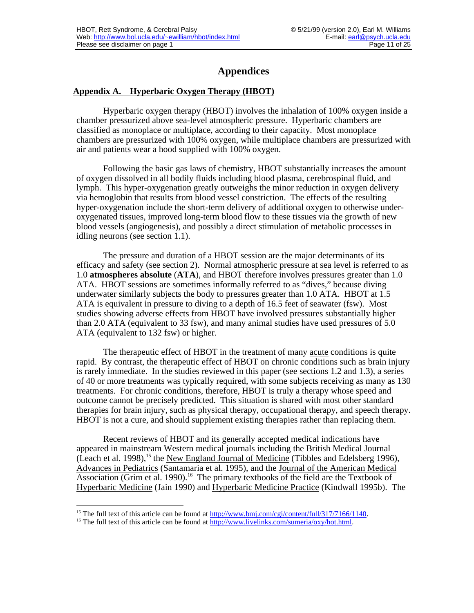# **Appendices**

### **Appendix A. Hyperbaric Oxygen Therapy (HBOT)**

Hyperbaric oxygen therapy (HBOT) involves the inhalation of 100% oxygen inside a chamber pressurized above sea-level atmospheric pressure. Hyperbaric chambers are classified as monoplace or multiplace, according to their capacity. Most monoplace chambers are pressurized with 100% oxygen, while multiplace chambers are pressurized with air and patients wear a hood supplied with 100% oxygen.

Following the basic gas laws of chemistry, HBOT substantially increases the amount of oxygen dissolved in all bodily fluids including blood plasma, cerebrospinal fluid, and lymph. This hyper-oxygenation greatly outweighs the minor reduction in oxygen delivery via hemoglobin that results from blood vessel constriction. The effects of the resulting hyper-oxygenation include the short-term delivery of additional oxygen to otherwise underoxygenated tissues, improved long-term blood flow to these tissues via the growth of new blood vessels (angiogenesis), and possibly a direct stimulation of metabolic processes in idling neurons (see section 1.1).

The pressure and duration of a HBOT session are the major determinants of its efficacy and safety (see section 2). Normal atmospheric pressure at sea level is referred to as 1.0 **atmospheres absolute** (**ATA**), and HBOT therefore involves pressures greater than 1.0 ATA. HBOT sessions are sometimes informally referred to as "dives," because diving underwater similarly subjects the body to pressures greater than 1.0 ATA. HBOT at 1.5 ATA is equivalent in pressure to diving to a depth of 16.5 feet of seawater (fsw). Most studies showing adverse effects from HBOT have involved pressures substantially higher than 2.0 ATA (equivalent to 33 fsw), and many animal studies have used pressures of 5.0 ATA (equivalent to 132 fsw) or higher.

The therapeutic effect of HBOT in the treatment of many acute conditions is quite rapid. By contrast, the therapeutic effect of HBOT on chronic conditions such as brain injury is rarely immediate. In the studies reviewed in this paper (see sections 1.2 and 1.3), a series of 40 or more treatments was typically required, with some subjects receiving as many as 130 treatments. For chronic conditions, therefore, HBOT is truly a therapy whose speed and outcome cannot be precisely predicted. This situation is shared with most other standard therapies for brain injury, such as physical therapy, occupational therapy, and speech therapy. HBOT is not a cure, and should supplement existing therapies rather than replacing them.

Recent reviews of HBOT and its generally accepted medical indications have appeared in mainstream Western medical journals including the British Medical Journal (Leach et al. 1998),<sup>15</sup> the New England Journal of Medicine (Tibbles and Edelsberg 1996), Advances in Pediatrics (Santamaria et al. 1995), and the Journal of the American Medical Association (Grim et al. 1990).<sup>16</sup> The primary textbooks of the field are the Textbook of Hyperbaric Medicine (Jain 1990) and Hyperbaric Medicine Practice (Kindwall 1995b). The

 $\overline{a}$ <sup>15</sup> The full text of this article can be found at  $\frac{http://www.bmi.com/cgi/content/full/317/7166/1140}{http://www.bmi.com/cgi/content/full/317/7166/1140}$ .

<sup>&</sup>lt;sup>16</sup> The full text of this article can be found at  $\frac{http://www.livelinks.com/sumeria/oxy/hot.html}{http://www.livelinks.com/sumeria/oxy/hot.html}$ .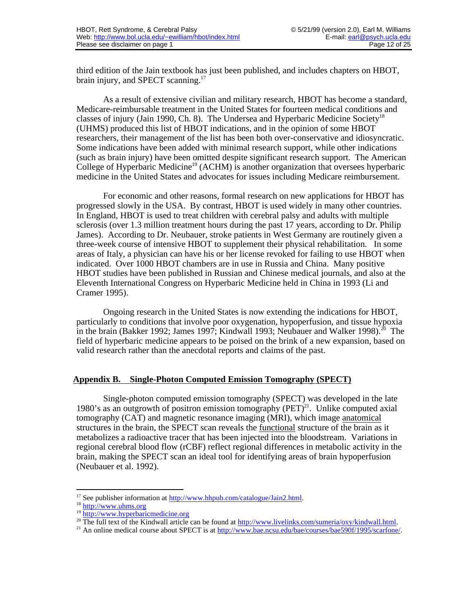third edition of the Jain textbook has just been published, and includes chapters on HBOT, brain injury, and SPECT scanning.<sup>17</sup>

As a result of extensive civilian and military research, HBOT has become a standard, Medicare-reimbursable treatment in the United States for fourteen medical conditions and classes of injury (Jain 1990, Ch. 8). The Undersea and Hyperbaric Medicine Society<sup>18</sup> (UHMS) produced this list of HBOT indications, and in the opinion of some HBOT researchers, their management of the list has been both over-conservative and idiosyncratic. Some indications have been added with minimal research support, while other indications (such as brain injury) have been omitted despite significant research support. The American College of Hyperbaric Medicine<sup>19</sup> (ACHM) is another organization that oversees hyperbaric medicine in the United States and advocates for issues including Medicare reimbursement.

For economic and other reasons, formal research on new applications for HBOT has progressed slowly in the USA. By contrast, HBOT is used widely in many other countries. In England, HBOT is used to treat children with cerebral palsy and adults with multiple sclerosis (over 1.3 million treatment hours during the past 17 years, according to Dr. Philip James). According to Dr. Neubauer, stroke patients in West Germany are routinely given a three-week course of intensive HBOT to supplement their physical rehabilitation. In some areas of Italy, a physician can have his or her license revoked for failing to use HBOT when indicated. Over 1000 HBOT chambers are in use in Russia and China. Many positive HBOT studies have been published in Russian and Chinese medical journals, and also at the Eleventh International Congress on Hyperbaric Medicine held in China in 1993 (Li and Cramer 1995).

Ongoing research in the United States is now extending the indications for HBOT, particularly to conditions that involve poor oxygenation, hypoperfusion, and tissue hypoxia in the brain (Bakker 1992; James 1997; Kindwall 1993; Neubauer and Walker 1998).<sup>20</sup> The field of hyperbaric medicine appears to be poised on the brink of a new expansion, based on valid research rather than the anecdotal reports and claims of the past.

#### Appendix B. Single-Photon Computed Emission Tomography (SPECT)

Single-photon computed emission tomography (SPECT) was developed in the late 1980's as an outgrowth of positron emission tomography  $(PET)^{21}$ . Unlike computed axial tomography (CAT) and magnetic resonance imaging (MRI), which image anatomical structures in the brain, the SPECT scan reveals the functional structure of the brain as it metabolizes a radioactive tracer that has been injected into the bloodstream. Variations in regional cerebral blood flow (rCBF) reflect regional differences in metabolic activity in the brain, making the SPECT scan an ideal tool for identifying areas of brain hypoperfusion (Neubauer et al. 1992).

<sup>&</sup>lt;sup>17</sup> See publisher information at http://www.hhpub.com/catalogue/Jain2.html.

<sup>&</sup>lt;sup>18</sup> http://www.uhms.org

<sup>19</sup> <http://www.hyperbaricmedicine.org>

<sup>&</sup>lt;sup>20</sup> The full text of the Kindwall article can be found at http://www.livelinks.com/sumeria/oxy/kindwall.html.

<sup>&</sup>lt;sup>21</sup> An online medical course about SPECT is at http://www.bae.ncsu.edu/bae/courses/bae590f/1995/scarfone/.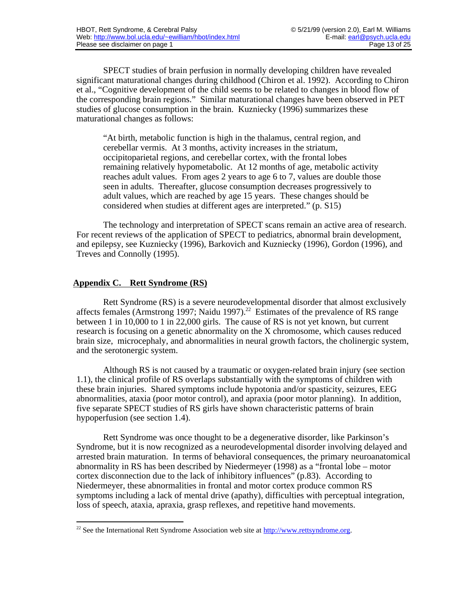SPECT studies of brain perfusion in normally developing children have revealed significant maturational changes during childhood (Chiron et al. 1992). According to Chiron et al., "Cognitive development of the child seems to be related to changes in blood flow of the corresponding brain regions." Similar maturational changes have been observed in PET studies of glucose consumption in the brain. Kuzniecky (1996) summarizes these maturational changes as follows:

"At birth, metabolic function is high in the thalamus, central region, and cerebellar vermis. At 3 months, activity increases in the striatum, occipitoparietal regions, and cerebellar cortex, with the frontal lobes remaining relatively hypometabolic. At 12 months of age, metabolic activity reaches adult values. From ages 2 years to age 6 to 7, values are double those seen in adults. Thereafter, glucose consumption decreases progressively to adult values, which are reached by age 15 years. These changes should be considered when studies at different ages are interpreted." (p. S15)

The technology and interpretation of SPECT scans remain an active area of research. For recent reviews of the application of SPECT to pediatrics, abnormal brain development, and epilepsy, see Kuzniecky (1996), Barkovich and Kuzniecky (1996), Gordon (1996), and Treves and Connolly (1995).

## **Appendix C. Rett Syndrome (RS)**

Rett Syndrome (RS) is a severe neurodevelopmental disorder that almost exclusively affects females (Armstrong 1997; Naidu 1997).<sup>22</sup> Estimates of the prevalence of RS range between 1 in 10,000 to 1 in 22,000 girls. The cause of RS is not yet known, but current research is focusing on a genetic abnormality on the X chromosome, which causes reduced brain size, microcephaly, and abnormalities in neural growth factors, the cholinergic system, and the serotonergic system.

Although RS is not caused by a traumatic or oxygen-related brain injury (see section 1.1), the clinical profile of RS overlaps substantially with the symptoms of children with these brain injuries. Shared symptoms include hypotonia and/or spasticity, seizures, EEG abnormalities, ataxia (poor motor control), and apraxia (poor motor planning). In addition, five separate SPECT studies of RS girls have shown characteristic patterns of brain hypoperfusion (see section 1.4).

Rett Syndrome was once thought to be a degenerative disorder, like Parkinson's Syndrome, but it is now recognized as a neurodevelopmental disorder involving delayed and arrested brain maturation. In terms of behavioral consequences, the primary neuroanatomical abnormality in RS has been described by Niedermeyer (1998) as a "frontal lobe – motor cortex disconnection due to the lack of inhibitory influences" (p.83). According to Niedermeyer, these abnormalities in frontal and motor cortex produce common RS symptoms including a lack of mental drive (apathy), difficulties with perceptual integration, loss of speech, ataxia, apraxia, grasp reflexes, and repetitive hand movements.

<sup>&</sup>lt;sup>22</sup> See the International Rett Syndrome Association web site at  $\frac{http://www.rettsyndrome.org.}{http://www.rettsyndrome.org.}$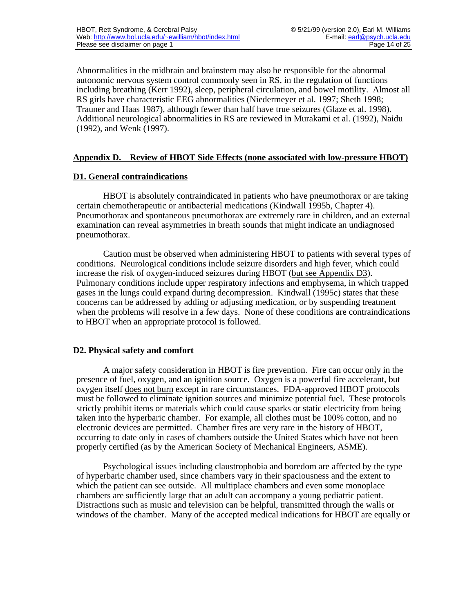Abnormalities in the midbrain and brainstem may also be responsible for the abnormal autonomic nervous system control commonly seen in RS, in the regulation of functions including breathing (Kerr 1992), sleep, peripheral circulation, and bowel motility. Almost all RS girls have characteristic EEG abnormalities (Niedermeyer et al. 1997; Sheth 1998; Trauner and Haas 1987), although fewer than half have true seizures (Glaze et al. 1998). Additional neurological abnormalities in RS are reviewed in Murakami et al. (1992), Naidu (1992), and Wenk (1997).

# **Appendix D. Review of HBOT Side Effects (none associated with low-pressure HBOT)**

#### **D1. General contraindications**

HBOT is absolutely contraindicated in patients who have pneumothorax or are taking certain chemotherapeutic or antibacterial medications (Kindwall 1995b, Chapter 4). Pneumothorax and spontaneous pneumothorax are extremely rare in children, and an external examination can reveal asymmetries in breath sounds that might indicate an undiagnosed pneumothorax.

Caution must be observed when administering HBOT to patients with several types of conditions. Neurological conditions include seizure disorders and high fever, which could increase the risk of oxygen-induced seizures during HBOT (but see Appendix D3). Pulmonary conditions include upper respiratory infections and emphysema, in which trapped gases in the lungs could expand during decompression. Kindwall (1995c) states that these concerns can be addressed by adding or adjusting medication, or by suspending treatment when the problems will resolve in a few days. None of these conditions are contraindications to HBOT when an appropriate protocol is followed.

#### **D2. Physical safety and comfort**

A major safety consideration in HBOT is fire prevention. Fire can occur only in the presence of fuel, oxygen, and an ignition source. Oxygen is a powerful fire accelerant, but oxygen itself does not burn except in rare circumstances. FDA-approved HBOT protocols must be followed to eliminate ignition sources and minimize potential fuel. These protocols strictly prohibit items or materials which could cause sparks or static electricity from being taken into the hyperbaric chamber. For example, all clothes must be 100% cotton, and no electronic devices are permitted. Chamber fires are very rare in the history of HBOT, occurring to date only in cases of chambers outside the United States which have not been properly certified (as by the American Society of Mechanical Engineers, ASME).

Psychological issues including claustrophobia and boredom are affected by the type of hyperbaric chamber used, since chambers vary in their spaciousness and the extent to which the patient can see outside. All multiplace chambers and even some monoplace chambers are sufficiently large that an adult can accompany a young pediatric patient. Distractions such as music and television can be helpful, transmitted through the walls or windows of the chamber. Many of the accepted medical indications for HBOT are equally or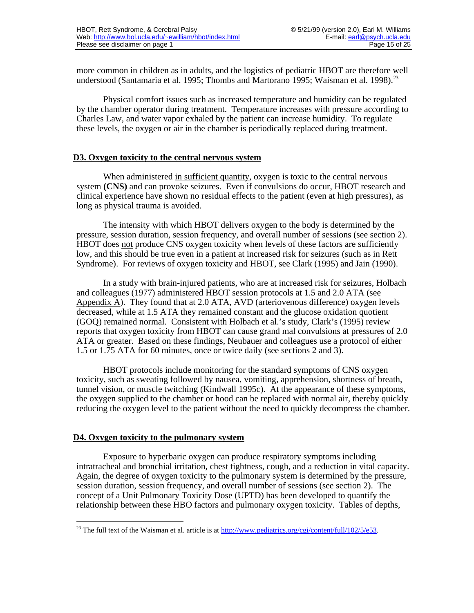more common in children as in adults, and the logistics of pediatric HBOT are therefore well understood (Santamaria et al. 1995; Thombs and Martorano 1995; Waisman et al. 1998).<sup>23</sup>

Physical comfort issues such as increased temperature and humidity can be regulated by the chamber operator during treatment. Temperature increases with pressure according to Charles Law, and water vapor exhaled by the patient can increase humidity. To regulate these levels, the oxygen or air in the chamber is periodically replaced during treatment.

#### **D3. Oxygen toxicity to the central nervous system**

When administered in sufficient quantity, oxygen is toxic to the central nervous system **(CNS)** and can provoke seizures. Even if convulsions do occur, HBOT research and clinical experience have shown no residual effects to the patient (even at high pressures), as long as physical trauma is avoided.

The intensity with which HBOT delivers oxygen to the body is determined by the pressure, session duration, session frequency, and overall number of sessions (see section 2). HBOT does not produce CNS oxygen toxicity when levels of these factors are sufficiently low, and this should be true even in a patient at increased risk for seizures (such as in Rett Syndrome). For reviews of oxygen toxicity and HBOT, see Clark (1995) and Jain (1990).

In a study with brain-injured patients, who are at increased risk for seizures, Holbach and colleagues (1977) administered HBOT session protocols at 1.5 and 2.0 ATA (see Appendix A). They found that at  $2.0$  ATA, AVD (arteriovenous difference) oxygen levels decreased, while at 1.5 ATA they remained constant and the glucose oxidation quotient (GOQ) remained normal. Consistent with Holbach et al.'s study, Clark's (1995) review reports that oxygen toxicity from HBOT can cause grand mal convulsions at pressures of 2.0 ATA or greater. Based on these findings, Neubauer and colleagues use a protocol of either 1.5 or 1.75 ATA for 60 minutes, once or twice daily (see sections 2 and 3).

HBOT protocols include monitoring for the standard symptoms of CNS oxygen toxicity, such as sweating followed by nausea, vomiting, apprehension, shortness of breath, tunnel vision, or muscle twitching (Kindwall 1995c). At the appearance of these symptoms, the oxygen supplied to the chamber or hood can be replaced with normal air, thereby quickly reducing the oxygen level to the patient without the need to quickly decompress the chamber.

#### **D4. Oxygen toxicity to the pulmonary system**

Exposure to hyperbaric oxygen can produce respiratory symptoms including intratracheal and bronchial irritation, chest tightness, cough, and a reduction in vital capacity. Again, the degree of oxygen toxicity to the pulmonary system is determined by the pressure, session duration, session frequency, and overall number of sessions (see section 2). The concept of a Unit Pulmonary Toxicity Dose (UPTD) has been developed to quantify the relationship between these HBO factors and pulmonary oxygen toxicity. Tables of depths,

 <sup>23</sup> The full text of the Waisman et al. article is at http://www.pediatrics.org/cgi/content/full/102/5/e53.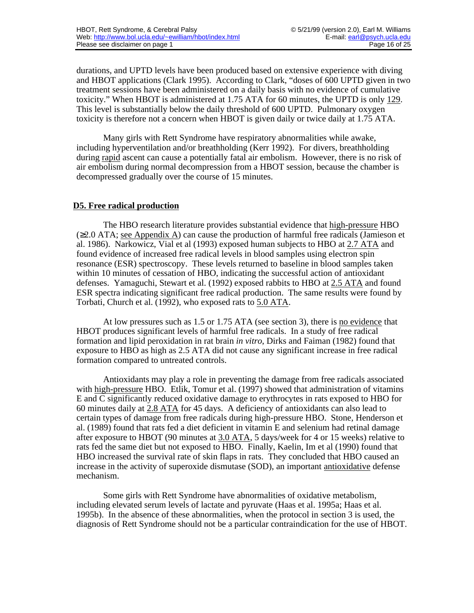durations, and UPTD levels have been produced based on extensive experience with diving and HBOT applications (Clark 1995). According to Clark, "doses of 600 UPTD given in two treatment sessions have been administered on a daily basis with no evidence of cumulative toxicity." When HBOT is administered at 1.75 ATA for 60 minutes, the UPTD is only 129 . This level is substantially below the daily threshold of 600 UPTD. Pulmonary oxygen toxicity is therefore not a concern when HBOT is given daily or twice daily at 1.75 ATA.

Many girls with Rett Syndrome have respiratory abnormalities while awake, including hyperventilation and/or breathholding (Kerr 1992). For divers, breathholding during rapid ascent can cause a potentially fatal air embolism. However, there is no risk of air embolism during normal decompression from a HBOT session, because the chamber is decompressed gradually over the course of 15 minutes.

#### **D5. Free radical production**

The HBO research literature provides substantial evidence that high-pressure HBO ( 2.0 ATA; see Appendix A ) can cause the production of harmful free radicals (Jamieson et al. 1986). Narkowicz, Vial et al (1993) exposed human subjects to HBO at 2.7 ATA and found evidence of increased free radical levels in blood samples using electron spin resonance (ESR) spectroscopy. These levels returned to baseline in blood samples taken within 10 minutes of cessation of HBO, indicating the successful action of antioxidant defenses. Yamaguchi, Stewart et al. (1992) exposed rabbits to HBO at 2.5 ATA and found ESR spectra indicating significant free radical production. The same results were found by Torbati, Church et al. (1992), who exposed rats to 5.0 ATA .

At low pressures such as 1.5 or 1.75 ATA (see section 3), there is no evidence that HBOT produces significant levels of harmful free radicals. In a study of free radical formation and lipid peroxidation in rat brain *in vitro*, Dirks and Faiman (1982) found that exposure to HBO as high as 2.5 ATA did not cause any significant increase in free radical formation compared to untreated controls.

Antioxidants may play a role in preventing the damage from free radicals associated with high-pressure HBO. Etlik, Tomur et al. (1997) showed that administration of vitamins E and C significantly reduced oxidative damage to erythrocytes in rats exposed to HBO for 60 minutes daily at 2.8 ATA for 45 days. A deficiency of antioxidants can also lead to certain types of damage from free radicals during high-pressure HBO. Stone, Henderson et al. (1989) found that rats fed a diet deficient in vitamin E and selenium had retinal damage after exposure to HBOT (90 minutes at 3.0 ATA , 5 days/week for 4 or 15 weeks) relative to rats fed the same diet but not exposed to HBO. Finally, Kaelin, Im et al (1990) found that HBO increased the survival rate of skin flaps in rats. They concluded that HBO caused an increase in the activity of superoxide dismutase (SOD), an important antioxidative defense mechanism.

Some girls with Rett Syndrome have abnormalities of oxidative metabolism, including elevated serum levels of lactate and pyruvate (Haas et al. 1995a; Haas et al. 1995b). In the absence of these abnormalities, when the protocol in section 3 is used, the diagnosis of Rett Syndrome should not be a particular contraindication for the use of HBOT.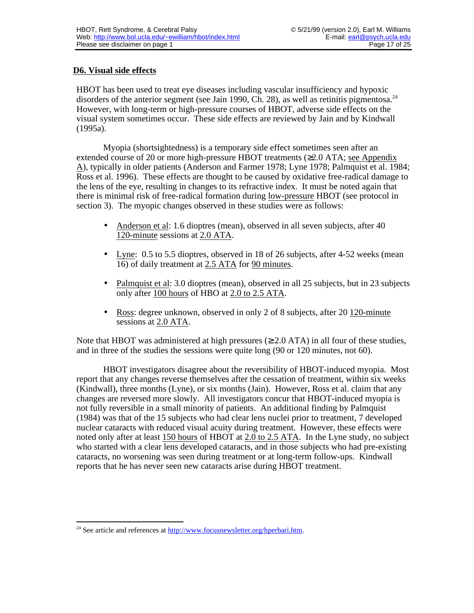# **D6. Visual side effects**

HBOT has been used to treat eye diseases including vascular insufficiency and hypoxic disorders of the anterior segment (see Jain 1990, Ch. 28), as well as retinitis pigmentosa.<sup>24</sup> However, with long-term or high-pressure courses of HBOT, adverse side effects on the visual system sometimes occur. These side effects are reviewed by Jain and by Kindwall (1995a).

Myopia (shortsightedness) is a temporary side effect sometimes seen after an extended course of 20 or more high-pressure HBOT treatments ( 2.0 ATA; see Appendix A ), typically in older patients (Anderson and Farmer 1978; Lyne 1978; Palmquist et al. 1984; Ross et al. 1996). These effects are thought to be caused by oxidative free-radical damage to the lens of the eye, resulting in changes to its refractive index. It must be noted again that there is minimal risk of free-radical formation during low-pressure HBOT (see protocol in section 3). The myopic changes observed in these studies were as follows:

- Anderson et al: 1.6 dioptres (mean), observed in all seven subjects, after 40 120-minute sessions at 2.0 ATA.
- Lyne: 0.5 to 5.5 dioptres, observed in 18 of 26 subjects, after 4-52 weeks (mean 16) of daily treatment at 2.5 ATA for 90 minutes .
- Palmquist et al: 3.0 dioptres (mean), observed in all 25 subjects, but in 23 subjects only after 100 hours of HBO at 2.0 to 2.5 ATA.
- Ross: degree unknown, observed in only 2 of 8 subjects, after 20 120-minute sessions at 2.0 ATA.

Note that HBOT was administered at high pressures ( 2.0 ATA) in all four of these studies, and in three of the studies the sessions were quite long (90 or 120 minutes, not 60).

HBOT investigators disagree about the reversibility of HBOT-induced myopia. Most report that any changes reverse themselves after the cessation of treatment, within six weeks (Kindwall), three months (Lyne), or six months (Jain). However, Ross et al. claim that any changes are reversed more slowly. All investigators concur that HBOT-induced myopia is not fully reversible in a small minority of patients. An additional finding by Palmquist (1984) was that of the 15 subjects who had clear lens nuclei prior to treatment, 7 developed nuclear cataracts with reduced visual acuity during treatment. However, these effects were noted only after at least 150 hours of HBOT at 2.0 to 2.5 ATA . In the Lyne study, no subject who started with a clear lens developed cataracts, and in those subjects who had pre-existing cataracts, no worsening was seen during treatment or at long-term follow-ups. Kindwall reports that he has never seen new cataracts arise during HBOT treatment.

 <sup>24</sup> See article and references at  $\frac{http://www.focusnewsletter.org/hperbari.htm.$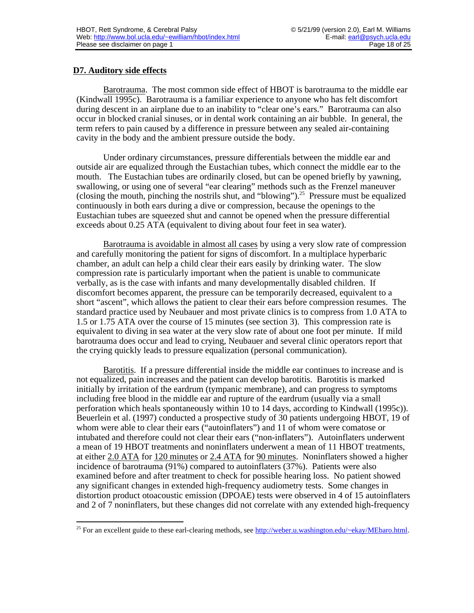# **D7. Auditory side effects**

Barotrauma . The most common side effect of HBOT is barotrauma to the middle ear (Kindwall 1995c). Barotrauma is a familiar experience to anyone who has felt discomfort during descent in an airplane due to an inability to "clear one's ears." Barotrauma can also occur in blocked cranial sinuses, or in dental work containing an air bubble. In general, the term refers to pain caused by a difference in pressure between any sealed air-containing cavity in the body and the ambient pressure outside the body.

Under ordinary circumstances, pressure differentials between the middle ear and outside air are equalized through the Eustachian tubes, which connect the middle ear to the mouth. The Eustachian tubes are ordinarily closed, but can be opened briefly by yawning, swallowing, or using one of several "ear clearing" methods such as the Frenzel maneuver (closing the mouth, pinching the nostrils shut, and "blowing").<sup>25</sup> Pressure must be equalized continuously in both ears during a dive or compression, because the openings to the Eustachian tubes are squeezed shut and cannot be opened when the pressure differential exceeds about 0.25 ATA (equivalent to diving about four feet in sea water).

Barotrauma is avoidable in almost all cases by using a very slow rate of compression and carefully monitoring the patient for signs of discomfort. In a multiplace hyperbaric chamber, an adult can help a child clear their ears easily by drinking water. The slow compression rate is particularly important when the patient is unable to communicate verbally, as is the case with infants and many developmentally disabled children. If discomfort becomes apparent, the pressure can be temporarily decreased, equivalent to a short "ascent", which allows the patient to clear their ears before compression resumes. The standard practice used by Neubauer and most private clinics is to compress from 1.0 ATA to 1.5 or 1.75 ATA over the course of 15 minutes (see section 3). This compression rate is equivalent to diving in sea water at the very slow rate of about one foot per minute. If mild barotrauma does occur and lead to crying, Neubauer and several clinic operators report that the crying quickly leads to pressure equalization (personal communication).

Barotitis . If a pressure differential inside the middle ear continues to increase and is not equalized, pain increases and the patient can develop barotitis. Barotitis is marked initially by irritation of the eardrum (tympanic membrane), and can progress to symptoms including free blood in the middle ear and rupture of the eardrum (usually via a small perforation which heals spontaneously within 10 to 14 days, according to Kindwall (1995c)). Beuerlein et al. (1997) conducted a prospective study of 30 patients undergoing HBOT, 19 of whom were able to clear their ears ("autoinflaters") and 11 of whom were comatose or intubated and therefore could not clear their ears ("non-inflaters"). Autoinflaters underwent a mean of 19 HBOT treatments and noninflaters underwent a mean of 11 HBOT treatments, at either 2.0 ATA for 120 minutes or 2.4 ATA for 90 minutes . Noninflaters showed a higher incidence of barotrauma (91%) compared to autoinflaters (37%). Patients were also examined before and after treatment to check for possible hearing loss. No patient showed any significant changes in extended high-frequency audiometry tests. Some changes in distortion product otoacoustic emission (DPOAE) tests were observed in 4 of 15 autoinflaters and 2 of 7 noninflaters, but these changes did not correlate with any extended high-frequency

 <sup>25</sup> For an excellent guide to these earl-clearing methods, see http://weber.u.washington.edu/~ekay/MEbaro.html.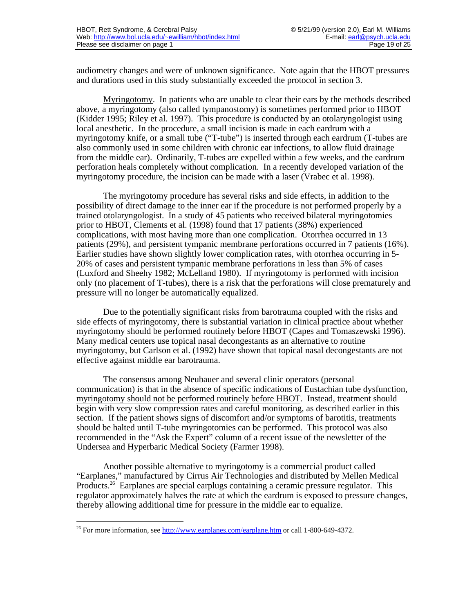audiometry changes and were of unknown significance. Note again that the HBOT pressures and durations used in this study substantially exceeded the protocol in section 3.

Myringotomy. In patients who are unable to clear their ears by the methods described above, a myringotomy (also called tympanostomy) is sometimes performed prior to HBOT (Kidder 1995; Riley et al. 1997). This procedure is conducted by an otolaryngologist using local anesthetic. In the procedure, a small incision is made in each eardrum with a myringotomy knife, or a small tube ("T-tube") is inserted through each eardrum (T-tubes are also commonly used in some children with chronic ear infections, to allow fluid drainage from the middle ear). Ordinarily, T-tubes are expelled within a few weeks, and the eardrum perforation heals completely without complication. In a recently developed variation of the myringotomy procedure, the incision can be made with a laser (Vrabec et al. 1998).

The myringotomy procedure has several risks and side effects, in addition to the possibility of direct damage to the inner ear if the procedure is not performed properly by a trained otolaryngologist. In a study of 45 patients who received bilateral myringotomies prior to HBOT, Clements et al. (1998) found that 17 patients (38%) experienced complications, with most having more than one complication. Otorrhea occurred in 13 patients (29%), and persistent tympanic membrane perforations occurred in 7 patients (16%). Earlier studies have shown slightly lower complication rates, with otorrhea occurring in 5- 20% of cases and persistent tympanic membrane perforations in less than 5% of cases (Luxford and Sheehy 1982; McLelland 1980). If myringotomy is performed with incision only (no placement of T-tubes), there is a risk that the perforations will close prematurely and pressure will no longer be automatically equalized.

Due to the potentially significant risks from barotrauma coupled with the risks and side effects of myringotomy, there is substantial variation in clinical practice about whether myringotomy should be performed routinely before HBOT (Capes and Tomaszewski 1996). Many medical centers use topical nasal decongestants as an alternative to routine myringotomy, but Carlson et al. (1992) have shown that topical nasal decongestants are not effective against middle ear barotrauma.

The consensus among Neubauer and several clinic operators (personal communication) is that in the absence of specific indications of Eustachian tube dysfunction, myringotomy should not be performed routinely before HBOT . Instead, treatment should begin with very slow compression rates and careful monitoring, as described earlier in this section. If the patient shows signs of discomfort and/or symptoms of barotitis, treatments should be halted until T-tube myringotomies can be performed. This protocol was also recommended in the "Ask the Expert" column of a recent issue of the newsletter of the Undersea and Hyperbaric Medical Society (Farmer 1998).

Another possible alternative to myringotomy is a commercial product called "Earplanes," manufactured by Cirrus Air Technologies and distributed by Mellen Medical Products.<sup>26</sup> Earplanes are special earplugs containing a ceramic pressure regulator. This regulator approximately halves the rate at which the eardrum is exposed to pressure changes, thereby allowing additional time for pressure in the middle ear to equalize.

 <sup>26</sup> For more information, see<http://www.earplanes.com/earplane.htm>or call 1-800-649-4372.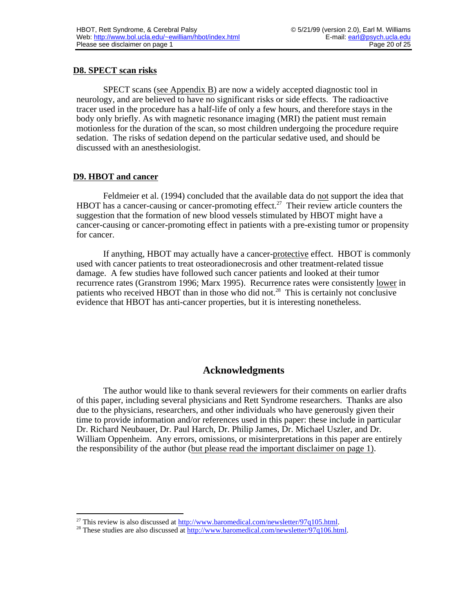# **D8. SPECT scan risks**

SPECT scans (see Appendix B) are now a widely accepted diagnostic tool in neurology, and are believed to have no significant risks or side effects. The radioactive tracer used in the procedure has a half-life of only a few hours, and therefore stays in the body only briefly. As with magnetic resonance imaging (MRI) the patient must remain motionless for the duration of the scan, so most children undergoing the procedure require sedation. The risks of sedation depend on the particular sedative used, and should be discussed with an anesthesiologist.

# **D9. HBOT and cancer**

Feldmeier et al. (1994) concluded that the available data do not support the idea that HBOT has a cancer-causing or cancer-promoting effect.<sup>27</sup> Their review article counters the suggestion that the formation of new blood vessels stimulated by HBOT might have a cancer-causing or cancer-promoting effect in patients with a pre-existing tumor or propensity for cancer.

If anything, HBOT may actually have a cancer-protective effect. HBOT is commonly used with cancer patients to treat osteoradionecrosis and other treatment-related tissue damage. A few studies have followed such cancer patients and looked at their tumor recurrence rates (Granstrom 1996; Marx 1995). Recurrence rates were consistently lower in patients who received HBOT than in those who did not.<sup>28</sup> This is certainly not conclusive evidence that HBOT has anti-cancer properties, but it is interesting nonetheless.

# **Acknowledgments**

The author would like to thank several reviewers for their comments on earlier drafts of this paper, including several physicians and Rett Syndrome researchers. Thanks are also due to the physicians, researchers, and other individuals who have generously given their time to provide information and/or references used in this paper: these include in particular Dr. Richard Neubauer, Dr. Paul Harch, Dr. Philip James, Dr. Michael Uszler, and Dr. William Oppenheim. Any errors, omissions, or misinterpretations in this paper are entirely the responsibility of the author (but please read the important disclaimer on page 1) .

<sup>&</sup>lt;sup>27</sup> This review is also discussed at http://www.baromedical.com/newsletter/97q105.html.

<sup>&</sup>lt;sup>28</sup> These studies are also discussed at http://www.baromedical.com/newsletter/97q106.html.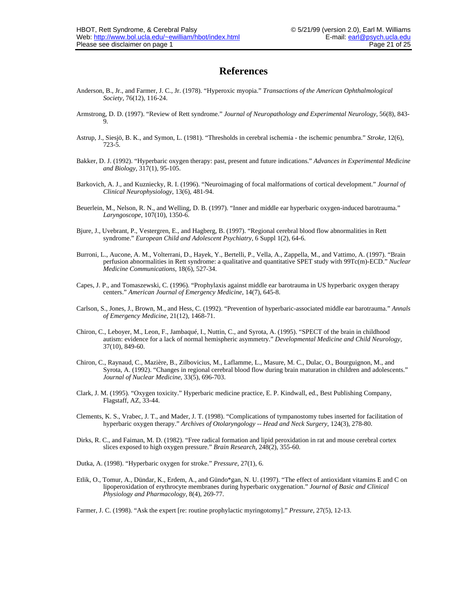## **References**

- Anderson, B., Jr., and Farmer, J. C., Jr. (1978). "Hyperoxic myopia." *Transactions of the American Ophthalmological Society*, 76(12), 116-24.
- Armstrong, D. D. (1997). "Review of Rett syndrome." *Journal of Neuropathology and Experimental Neurology*, 56(8), 843- 9.
- Astrup, J., Siesjö, B. K., and Symon, L. (1981). "Thresholds in cerebral ischemia the ischemic penumbra." *Stroke*, 12(6), 723-5.
- Bakker, D. J. (1992). "Hyperbaric oxygen therapy: past, present and future indications." *Advances in Experimental Medicine and Biology*, 317(1), 95-105.
- Barkovich, A. J., and Kuzniecky, R. I. (1996). "Neuroimaging of focal malformations of cortical development." *Journal of Clinical Neurophysiology*, 13(6), 481-94.
- Beuerlein, M., Nelson, R. N., and Welling, D. B. (1997). "Inner and middle ear hyperbaric oxygen-induced barotrauma." *Laryngoscope*, 107(10), 1350-6.
- Bjure, J., Uvebrant, P., Vestergren, E., and Hagberg, B. (1997). "Regional cerebral blood flow abnormalities in Rett syndrome." *European Child and Adolescent Psychiatry*, 6 Suppl 1(2), 64-6.
- Burroni, L., Aucone, A. M., Volterrani, D., Hayek, Y., Bertelli, P., Vella, A., Zappella, M., and Vattimo, A. (1997). "Brain perfusion abnormalities in Rett syndrome: a qualitative and quantitative SPET study with 99Tc(m)-ECD." *Nuclear Medicine Communications*, 18(6), 527-34.
- Capes, J. P., and Tomaszewski, C. (1996). "Prophylaxis against middle ear barotrauma in US hyperbaric oxygen therapy centers." *American Journal of Emergency Medicine*, 14(7), 645-8.
- Carlson, S., Jones, J., Brown, M., and Hess, C. (1992). "Prevention of hyperbaric-associated middle ear barotrauma." *Annals of Emergency Medicine*, 21(12), 1468-71.
- Chiron, C., Leboyer, M., Leon, F., Jambaqué, I., Nuttin, C., and Syrota, A. (1995). "SPECT of the brain in childhood autism: evidence for a lack of normal hemispheric asymmetry." *Developmental Medicine and Child Neurology*, 37(10), 849-60.
- Chiron, C., Raynaud, C., Mazière, B., Zilbovicius, M., Laflamme, L., Masure, M. C., Dulac, O., Bourguignon, M., and Syrota, A. (1992). "Changes in regional cerebral blood flow during brain maturation in children and adolescents." *Journal of Nuclear Medicine*, 33(5), 696-703.
- Clark, J. M. (1995). "Oxygen toxicity." Hyperbaric medicine practice, E. P. Kindwall, ed., Best Publishing Company, Flagstaff, AZ, 33-44.
- Clements, K. S., Vrabec, J. T., and Mader, J. T. (1998). "Complications of tympanostomy tubes inserted for facilitation of hyperbaric oxygen therapy." *Archives of Otolaryngology -- Head and Neck Surgery*, 124(3), 278-80.
- Dirks, R. C., and Faiman, M. D. (1982). "Free radical formation and lipid peroxidation in rat and mouse cerebral cortex slices exposed to high oxygen pressure." *Brain Research*, 248(2), 355-60.
- Dutka, A. (1998). "Hyperbaric oxygen for stroke." *Pressure*, 27(1), 6.
- Etlik, O., Tomur, A., Dündar, K., Erdem, A., and Gündo\*gan, N. U. (1997). "The effect of antioxidant vitamins E and C on lipoperoxidation of erythrocyte membranes during hyperbaric oxygenation." *Journal of Basic and Clinical Physiology and Pharmacology*, 8(4), 269-77.

Farmer, J. C. (1998). "Ask the expert [re: routine prophylactic myringotomy]." *Pressure*, 27(5), 12-13.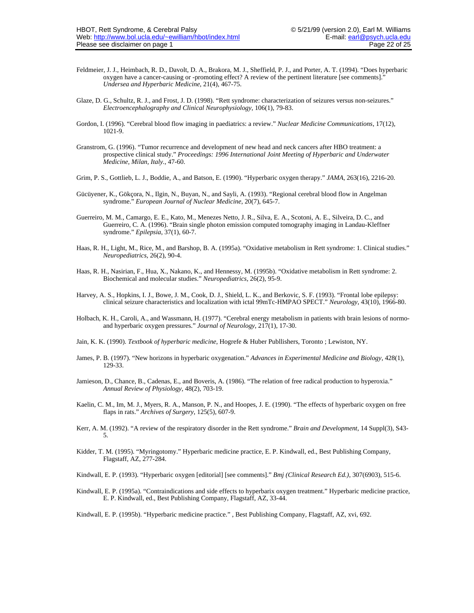- Feldmeier, J. J., Heimbach, R. D., Davolt, D. A., Brakora, M. J., Sheffield, P. J., and Porter, A. T. (1994). "Does hyperbaric oxygen have a cancer-causing or -promoting effect? A review of the pertinent literature [see comments]." *Undersea and Hyperbaric Medicine*, 21(4), 467-75.
- Glaze, D. G., Schultz, R. J., and Frost, J. D. (1998). "Rett syndrome: characterization of seizures versus non-seizures." *Electroencephalography and Clinical Neurophysiology*, 106(1), 79-83.
- Gordon, I. (1996). "Cerebral blood flow imaging in paediatrics: a review." *Nuclear Medicine Communications*, 17(12), 1021-9.
- Granstrom, G. (1996). "Tumor recurrence and development of new head and neck cancers after HBO treatment: a prospective clinical study." *Proceedings: 1996 International Joint Meeting of Hyperbaric and Underwater Medicine, Milan, Italy.*, 47-60.
- Grim, P. S., Gottlieb, L. J., Boddie, A., and Batson, E. (1990). "Hyperbaric oxygen therapy." *JAMA*, 263(16), 2216-20.
- Gücüyener, K., Gökçora, N., Ilgin, N., Buyan, N., and Sayli, A. (1993). "Regional cerebral blood flow in Angelman syndrome." *European Journal of Nuclear Medicine*, 20(7), 645-7.
- Guerreiro, M. M., Camargo, E. E., Kato, M., Menezes Netto, J. R., Silva, E. A., Scotoni, A. E., Silveira, D. C., and Guerreiro, C. A. (1996). "Brain single photon emission computed tomography imaging in Landau-Kleffner syndrome." *Epilepsia*, 37(1), 60-7.
- Haas, R. H., Light, M., Rice, M., and Barshop, B. A. (1995a). "Oxidative metabolism in Rett syndrome: 1. Clinical studies." *Neuropediatrics*, 26(2), 90-4.
- Haas, R. H., Nasirian, F., Hua, X., Nakano, K., and Hennessy, M. (1995b). "Oxidative metabolism in Rett syndrome: 2. Biochemical and molecular studies." *Neuropediatrics*, 26(2), 95-9.
- Harvey, A. S., Hopkins, I. J., Bowe, J. M., Cook, D. J., Shield, L. K., and Berkovic, S. F. (1993). "Frontal lobe epilepsy: clinical seizure characteristics and localization with ictal 99mTc-HMPAO SPECT." *Neurology*, 43(10), 1966-80.
- Holbach, K. H., Caroli, A., and Wassmann, H. (1977). "Cerebral energy metabolism in patients with brain lesions of normoand hyperbaric oxygen pressures." *Journal of Neurology*, 217(1), 17-30.
- Jain, K. K. (1990). *Textbook of hyperbaric medicine*, Hogrefe & Huber Publlishers, Toronto ; Lewiston, NY.
- James, P. B. (1997). "New horizons in hyperbaric oxygenation." *Advances in Experimental Medicine and Biology*, 428(1), 129-33.
- Jamieson, D., Chance, B., Cadenas, E., and Boveris, A. (1986). "The relation of free radical production to hyperoxia." *Annual Review of Physiology*, 48(2), 703-19.
- Kaelin, C. M., Im, M. J., Myers, R. A., Manson, P. N., and Hoopes, J. E. (1990). "The effects of hyperbaric oxygen on free flaps in rats." *Archives of Surgery*, 125(5), 607-9.
- Kerr, A. M. (1992). "A review of the respiratory disorder in the Rett syndrome." *Brain and Development*, 14 Suppl(3), S43- 5.
- Kidder, T. M. (1995). "Myringotomy." Hyperbaric medicine practice, E. P. Kindwall, ed., Best Publishing Company, Flagstaff, AZ, 277-284.

Kindwall, E. P. (1993). "Hyperbaric oxygen [editorial] [see comments]." *Bmj (Clinical Research Ed.)*, 307(6903), 515-6.

- Kindwall, E. P. (1995a). "Contraindications and side effects to hyperbarix oxygen treatment." Hyperbaric medicine practice, E. P. Kindwall, ed., Best Publishing Company, Flagstaff, AZ, 33-44.
- Kindwall, E. P. (1995b). "Hyperbaric medicine practice." , Best Publishing Company, Flagstaff, AZ, xvi, 692.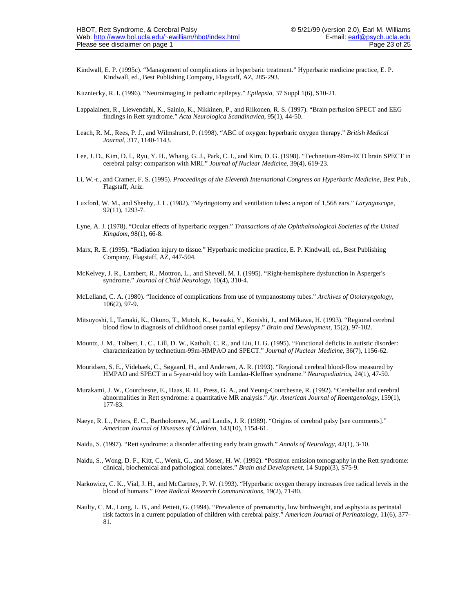- Kindwall, E. P. (1995c). "Management of complications in hyperbaric treatment." Hyperbaric medicine practice, E. P. Kindwall, ed., Best Publishing Company, Flagstaff, AZ, 285-293.
- Kuzniecky, R. I. (1996). "Neuroimaging in pediatric epilepsy." *Epilepsia*, 37 Suppl 1(6), S10-21.
- Lappalainen, R., Liewendahl, K., Sainio, K., Nikkinen, P., and Riikonen, R. S. (1997). "Brain perfusion SPECT and EEG findings in Rett syndrome." *Acta Neurologica Scandinavica*, 95(1), 44-50.
- Leach, R. M., Rees, P. J., and Wilmshurst, P. (1998). "ABC of oxygen: hyperbaric oxygen therapy." *British Medical Journal*, 317, 1140-1143.
- Lee, J. D., Kim, D. I., Ryu, Y. H., Whang, G. J., Park, C. I., and Kim, D. G. (1998). "Technetium-99m-ECD brain SPECT in cerebral palsy: comparison with MRI." *Journal of Nuclear Medicine*, 39(4), 619-23.
- Li, W.-r., and Cramer, F. S. (1995). *Proceedings of the Eleventh International Congress on Hyperbaric Medicine*, Best Pub., Flagstaff, Ariz.
- Luxford, W. M., and Sheehy, J. L. (1982). "Myringotomy and ventilation tubes: a report of 1,568 ears." *Laryngoscope*, 92(11), 1293-7.
- Lyne, A. J. (1978). "Ocular effects of hyperbaric oxygen." *Transactions of the Ophthalmological Societies of the United Kingdom*, 98(1), 66-8.
- Marx, R. E. (1995). "Radiation injury to tissue." Hyperbaric medicine practice, E. P. Kindwall, ed., Best Publishing Company, Flagstaff, AZ, 447-504.
- McKelvey, J. R., Lambert, R., Mottron, L., and Shevell, M. I. (1995). "Right-hemisphere dysfunction in Asperger's syndrome." *Journal of Child Neurology*, 10(4), 310-4.
- McLelland, C. A. (1980). "Incidence of complications from use of tympanostomy tubes." *Archives of Otolaryngology*, 106(2), 97-9.
- Mitsuyoshi, I., Tamaki, K., Okuno, T., Mutoh, K., Iwasaki, Y., Konishi, J., and Mikawa, H. (1993). "Regional cerebral blood flow in diagnosis of childhood onset partial epilepsy." *Brain and Development*, 15(2), 97-102.
- Mountz, J. M., Tolbert, L. C., Lill, D. W., Katholi, C. R., and Liu, H. G. (1995). "Functional deficits in autistic disorder: characterization by technetium-99m-HMPAO and SPECT." *Journal of Nuclear Medicine*, 36(7), 1156-62.
- Mouridsen, S. E., Videbaek, C., Søgaard, H., and Andersen, A. R. (1993). "Regional cerebral blood-flow measured by HMPAO and SPECT in a 5-year-old boy with Landau-Kleffner syndrome." *Neuropediatrics*, 24(1), 47-50.
- Murakami, J. W., Courchesne, E., Haas, R. H., Press, G. A., and Yeung-Courchesne, R. (1992). "Cerebellar and cerebral abnormalities in Rett syndrome: a quantitative MR analysis." *Ajr. American Journal of Roentgenology*, 159(1), 177-83.
- Naeye, R. L., Peters, E. C., Bartholomew, M., and Landis, J. R. (1989). "Origins of cerebral palsy [see comments]." *American Journal of Diseases of Children*, 143(10), 1154-61.
- Naidu, S. (1997). "Rett syndrome: a disorder affecting early brain growth." *Annals of Neurology*, 42(1), 3-10.
- Naidu, S., Wong, D. F., Kitt, C., Wenk, G., and Moser, H. W. (1992). "Positron emission tomography in the Rett syndrome: clinical, biochemical and pathological correlates." *Brain and Development*, 14 Suppl(3), S75-9.
- Narkowicz, C. K., Vial, J. H., and McCartney, P. W. (1993). "Hyperbaric oxygen therapy increases free radical levels in the blood of humans." *Free Radical Research Communications*, 19(2), 71-80.
- Naulty, C. M., Long, L. B., and Pettett, G. (1994). "Prevalence of prematurity, low birthweight, and asphyxia as perinatal risk factors in a current population of children with cerebral palsy." *American Journal of Perinatology*, 11(6), 377- 81.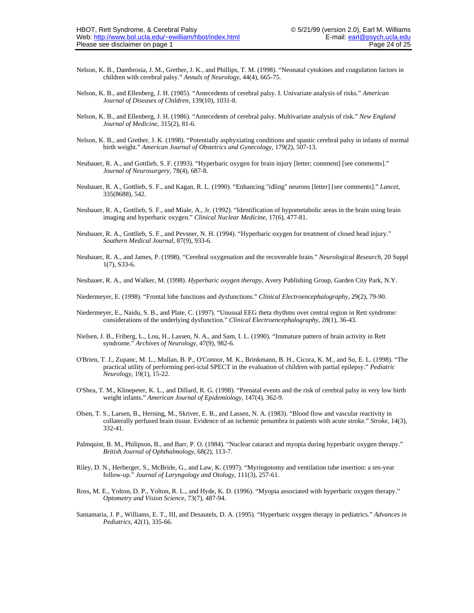- Nelson, K. B., Dambrosia, J. M., Grether, J. K., and Phillips, T. M. (1998). "Neonatal cytokines and coagulation factors in children with cerebral palsy." *Annals of Neurology*, 44(4), 665-75.
- Nelson, K. B., and Ellenberg, J. H. (1985). "Antecedents of cerebral palsy. I. Univariate analysis of risks." *American Journal of Diseases of Children*, 139(10), 1031-8.
- Nelson, K. B., and Ellenberg, J. H. (1986). "Antecedents of cerebral palsy. Multivariate analysis of risk." *New England Journal of Medicine*, 315(2), 81-6.
- Nelson, K. B., and Grether, J. K. (1998). "Potentially asphyxiating conditions and spastic cerebral palsy in infants of normal birth weight." *American Journal of Obstetrics and Gynecology*, 179(2), 507-13.
- Neubauer, R. A., and Gottlieb, S. F. (1993). "Hyperbaric oxygen for brain injury [letter; comment] [see comments]." *Journal of Neurosurgery*, 78(4), 687-8.
- Neubauer, R. A., Gottlieb, S. F., and Kagan, R. L. (1990). "Enhancing "idling" neurons [letter] [see comments]." *Lancet*, 335(8688), 542.
- Neubauer, R. A., Gottlieb, S. F., and Miale, A., Jr. (1992). "Identification of hypometabolic areas in the brain using brain imaging and hyperbaric oxygen." *Clinical Nuclear Medicine*, 17(6), 477-81.
- Neubauer, R. A., Gottlieb, S. F., and Pevsner, N. H. (1994). "Hyperbaric oxygen for treatment of closed head injury." *Southern Medical Journal*, 87(9), 933-6.
- Neubauer, R. A., and James, P. (1998). "Cerebral oxygenation and the recoverable brain." *Neurological Research*, 20 Suppl 1(7), S33-6.
- Neubauer, R. A., and Walker, M. (1998). *Hyperbaric oxygen therapy*, Avery Publishing Group, Garden City Park, N.Y.
- Niedermeyer, E. (1998). "Frontal lobe functions and dysfunctions." *Clinical Electroencephalography*, 29(2), 79-90.
- Niedermeyer, E., Naidu, S. B., and Plate, C. (1997). "Unusual EEG theta rhythms over central region in Rett syndrome: considerations of the underlying dysfunction." *Clinical Electroencephalography*, 28(1), 36-43.
- Nielsen, J. B., Friberg, L., Lou, H., Lassen, N. A., and Sam, I. L. (1990). "Immature pattern of brain activity in Rett syndrome." *Archives of Neurology*, 47(9), 982-6.
- O'Brien, T. J., Zupanc, M. L., Mullan, B. P., O'Connor, M. K., Brinkmann, B. H., Cicora, K. M., and So, E. L. (1998). "The practical utility of performing peri-ictal SPECT in the evaluation of children with partial epilepsy." *Pediatric Neurology*, 19(1), 15-22.
- O'Shea, T. M., Klinepeter, K. L., and Dillard, R. G. (1998). "Prenatal events and the risk of cerebral palsy in very low birth weight infants." *American Journal of Epidemiology*, 147(4), 362-9.
- Olsen, T. S., Larsen, B., Herning, M., Skriver, E. B., and Lassen, N. A. (1983). "Blood flow and vascular reactivity in collaterally perfused brain tissue. Evidence of an ischemic penumbra in patients with acute stroke." *Stroke*, 14(3), 332-41.
- Palmquist, B. M., Philipson, B., and Barr, P. O. (1984). "Nuclear cataract and myopia during hyperbaric oxygen therapy." *British Journal of Ophthalmology*, 68(2), 113-7.
- Riley, D. N., Herberger, S., McBride, G., and Law, K. (1997). "Myringotomy and ventilation tube insertion: a ten-year follow-up." *Journal of Laryngology and Otology*, 111(3), 257-61.
- Ross, M. E., Yolton, D. P., Yolton, R. L., and Hyde, K. D. (1996). "Myopia associated with hyperbaric oxygen therapy." *Optometry and Vision Science*, 73(7), 487-94.
- Santamaria, J. P., Williams, E. T., III, and Desautels, D. A. (1995). "Hyperbaric oxygen therapy in pediatrics." *Advances in Pediatrics*, 42(1), 335-66.